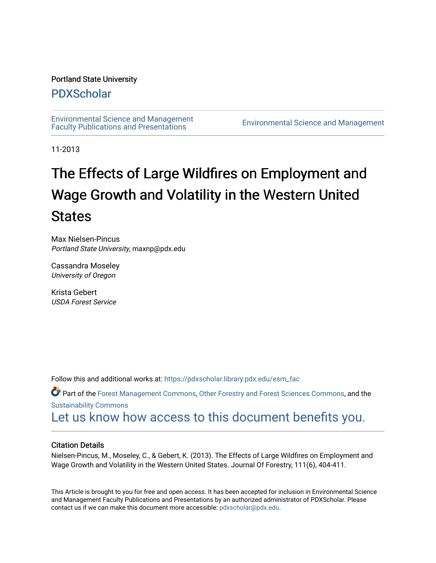#### Portland State University

# [PDXScholar](https://pdxscholar.library.pdx.edu/)

[Environmental Science and Management](https://pdxscholar.library.pdx.edu/esm_fac)  [Faculty Publications and Presentations](https://pdxscholar.library.pdx.edu/esm_fac) [Environmental Science and Management](https://pdxscholar.library.pdx.edu/esm) 

11-2013

# The Effects of Large Wildfires on Employment and Wage Growth and Volatility in the Western United **States**

Max Nielsen-Pincus Portland State University, maxnp@pdx.edu

Cassandra Moseley University of Oregon

Krista Gebert USDA Forest Service

Follow this and additional works at: [https://pdxscholar.library.pdx.edu/esm\\_fac](https://pdxscholar.library.pdx.edu/esm_fac?utm_source=pdxscholar.library.pdx.edu%2Fesm_fac%2F52&utm_medium=PDF&utm_campaign=PDFCoverPages) 

Part of the [Forest Management Commons](http://network.bepress.com/hgg/discipline/92?utm_source=pdxscholar.library.pdx.edu%2Fesm_fac%2F52&utm_medium=PDF&utm_campaign=PDFCoverPages), [Other Forestry and Forest Sciences Commons,](http://network.bepress.com/hgg/discipline/94?utm_source=pdxscholar.library.pdx.edu%2Fesm_fac%2F52&utm_medium=PDF&utm_campaign=PDFCoverPages) and the [Sustainability Commons](http://network.bepress.com/hgg/discipline/1031?utm_source=pdxscholar.library.pdx.edu%2Fesm_fac%2F52&utm_medium=PDF&utm_campaign=PDFCoverPages)

[Let us know how access to this document benefits you.](http://library.pdx.edu/services/pdxscholar-services/pdxscholar-feedback/?ref=https://pdxscholar.library.pdx.edu/esm_fac/52) 

# Citation Details

Nielsen-Pincus, M., Moseley, C., & Gebert, K. (2013). The Effects of Large Wildfires on Employment and Wage Growth and Volatility in the Western United States. Journal Of Forestry, 111(6), 404-411.

This Article is brought to you for free and open access. It has been accepted for inclusion in Environmental Science and Management Faculty Publications and Presentations by an authorized administrator of PDXScholar. Please contact us if we can make this document more accessible: [pdxscholar@pdx.edu](mailto:pdxscholar@pdx.edu).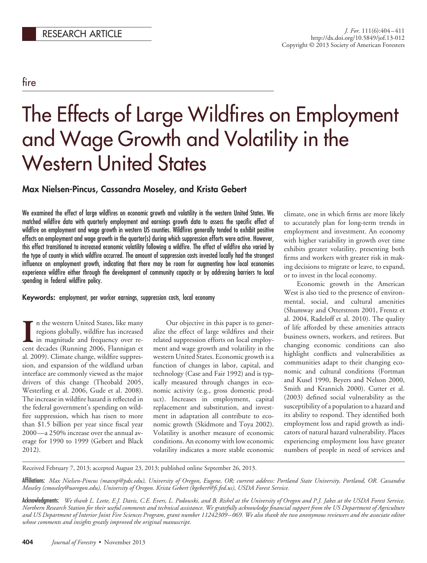# fire

# The Effects of Large Wildfires on Employment and Wage Growth and Volatility in the Western United States

# **Max Nielsen-Pincus, Cassandra Moseley, and Krista Gebert**

We examined the effect of large wildfires on economic growth and volatility in the western United States. We matched wildfire data with quarterly employment and earnings growth data to assess the specific effect of wildfire on employment and wage growth in western US counties. Wildfires generally tended to exhibit positive effects on employment and wage growth in the quarter(s) during which suppression efforts were active. However, this effect transitioned to increased economic volatility following a wildfire. The effect of wildfire also varied by the type of county in which wildfire occurred. The amount of suppression costs invested locally had the strongest influence on employment growth, indicating that there may be room for augmenting how local economies experience wildfire either through the development of community capacity or by addressing barriers to local spending in federal wildfire policy.

#### **Keywords:** employment, per worker earnings, suppression costs, local economy

In the western United States, like many regions globally, wildfire has increased in magnitude and frequency over recent decades (Running 2006, Flannigan et n the western United States, like many regions globally, wildfire has increased in magnitude and frequency over real. 2009). Climate change, wildfire suppression, and expansion of the wildland urban interface are commonly viewed as the major drivers of this change (Theobald 2005, Westerling et al. 2006, Gude et al. 2008). The increase in wildfire hazard is reflected in the federal government's spending on wildfire suppression, which has risen to more than \$1.5 billion per year since fiscal year 2000—a 250% increase over the annual average for 1990 to 1999 (Gebert and Black 2012).

Our objective in this paper is to generalize the effect of large wildfires and their related suppression efforts on local employment and wage growth and volatility in the western United States. Economic growth is a function of changes in labor, capital, and technology (Case and Fair 1992) and is typically measured through changes in economic activity (e.g., gross domestic product). Increases in employment, capital replacement and substitution, and investment in adaptation all contribute to economic growth (Skidmore and Toya 2002). Volatility is another measure of economic conditions. An economy with low economic volatility indicates a more stable economic climate, one in which firms are more likely to accurately plan for long-term trends in employment and investment. An economy with higher variability in growth over time exhibits greater volatility, presenting both firms and workers with greater risk in making decisions to migrate or leave, to expand, or to invest in the local economy.

Economic growth in the American West is also tied to the presence of environmental, social, and cultural amenities (Shumway and Otterstrom 2001, Frentz et al. 2004, Radeloff et al. 2010). The quality of life afforded by these amenities attracts business owners, workers, and retirees. But changing economic conditions can also highlight conflicts and vulnerabilities as communities adapt to their changing economic and cultural conditions (Fortman and Kusel 1990, Beyers and Nelson 2000, Smith and Krannich 2000). Cutter et al. (2003) defined social vulnerability as the susceptibility of a population to a hazard and its ability to respond. They identified both employment loss and rapid growth as indicators of natural hazard vulnerability. Places experiencing employment loss have greater numbers of people in need of services and

Received February 7, 2013; accepted August 23, 2013; published online September 26, 2013.

Affiliations: *Max Nielsen-Pincus (maxnp@pdx.edu), University of Oregon, Eugene, OR; current address: Portland State University, Portland, OR. Cassandra Moseley (cmoseley@uoregon.edu), University of Oregon. Krista Gebert (kgebert@fs.fed.us), USDA Forest Service.*

Acknowledgments: *We thank L. Leete, E.J. Davis, C.E. Evers, L. Podowski, and B. Rishel at the University of Oregon and P.J. Jakes at the USDA Forest Service, Northern Research Station for their useful comments and technical assistance. We gratefully acknowledge financial support from the US Department of Agriculture and US Department of Interior Joint Fire Sciences Program, grant number 11242309 – 069. We also thank the two anonymous reviewers and the associate editor whose comments and insights greatly improved the original manuscript.*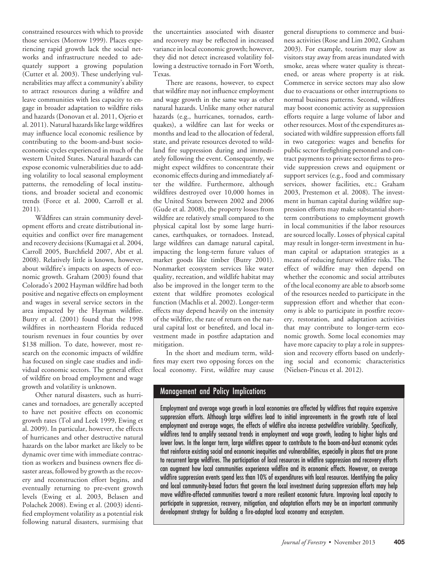constrained resources with which to provide those services (Morrow 1999). Places experiencing rapid growth lack the social networks and infrastructure needed to adequately support a growing population (Cutter et al. 2003). These underlying vulnerabilities may affect a community's ability to attract resources during a wildfire and leave communities with less capacity to engage in broader adaptation to wildfire risks and hazards (Donovan et al. 2011, Ojerio et al. 2011). Natural hazards like large wildfires may influence local economic resilience by contributing to the boom-and-bust socioeconomic cycles experienced in much of the western United States. Natural hazards can expose economic vulnerabilities due to adding volatility to local seasonal employment patterns, the remodeling of local institutions, and broader societal and economic trends (Force et al. 2000, Carroll et al. 2011).

Wildfires can strain community development efforts and create distributional inequities and conflict over fire management and recovery decisions (Kumagai et al. 2004, Carroll 2005, Burchfield 2007, Abt et al. 2008). Relatively little is known, however, about wildfire's impacts on aspects of economic growth. Graham (2003) found that Colorado's 2002 Hayman wildfire had both positive and negative effects on employment and wages in several service sectors in the area impacted by the Hayman wildfire. Butry et al. (2001) found that the 1998 wildfires in northeastern Florida reduced tourism revenues in four counties by over \$138 million. To date, however, most research on the economic impacts of wildfire has focused on single case studies and individual economic sectors. The general effect of wildfire on broad employment and wage growth and volatility is unknown.

Other natural disasters, such as hurricanes and tornadoes, are generally accepted to have net positive effects on economic growth rates (Tol and Leek 1999, Ewing et al. 2009). In particular, however, the effects of hurricanes and other destructive natural hazards on the labor market are likely to be dynamic over time with immediate contraction as workers and business owners flee disaster areas, followed by growth as the recovery and reconstruction effort begins, and eventually returning to pre-event growth levels (Ewing et al. 2003, Belasen and Polachek 2008). Ewing et al. (2003) identified employment volatility as a potential risk following natural disasters, surmising that

the uncertainties associated with disaster and recovery may be reflected in increased variance in local economic growth; however, they did not detect increased volatility following a destructive tornado in Fort Worth, Texas.

There are reasons, however, to expect that wildfire may not influence employment and wage growth in the same way as other natural hazards. Unlike many other natural hazards (e.g., hurricanes, tornados, earthquakes), a wildfire can last for weeks or months and lead to the allocation of federal, state, and private resources devoted to wildland fire suppression during and immediately following the event. Consequently, we might expect wildfires to concentrate their economic effects during and immediately after the wildfire. Furthermore, although wildfires destroyed over 10,000 homes in the United States between 2002 and 2006 (Gude et al. 2008), the property losses from wildfire are relatively small compared to the physical capital lost by some large hurricanes, earthquakes, or tornadoes. Instead, large wildfires can damage natural capital, impacting the long-term future values of market goods like timber (Butry 2001). Nonmarket ecosystem services like water quality, recreation, and wildlife habitat may also be improved in the longer term to the extent that wildfire promotes ecological function (Machlis et al. 2002). Longer-term effects may depend heavily on the intensity of the wildfire, the rate of return on the natural capital lost or benefited, and local investment made in postfire adaptation and mitigation.

In the short and medium term, wildfires may exert two opposing forces on the local economy. First, wildfire may cause general disruptions to commerce and business activities (Rose and Lim 2002, Graham 2003). For example, tourism may slow as visitors stay away from areas inundated with smoke, areas where water quality is threatened, or areas where property is at risk. Commerce in service sectors may also slow due to evacuations or other interruptions to normal business patterns. Second, wildfires may boost economic activity as suppression efforts require a large volume of labor and other resources. Most of the expenditures associated with wildfire suppression efforts fall in two categories: wages and benefits for public sector firefighting personnel and contract payments to private sector firms to provide suppression crews and equipment or support services (e.g., food and commissary services, shower facilities, etc.; Graham 2003, Prestemon et al. 2008). The investment in human capital during wildfire suppression efforts may make substantial shortterm contributions to employment growth in local communities if the labor resources are sourced locally. Losses of physical capital may result in longer-term investment in human capital or adaptation strategies as a means of reducing future wildfire risks. The effect of wildfire may then depend on whether the economic and social attributes of the local economy are able to absorb some of the resources needed to participate in the suppression effort and whether that economy is able to participate in postfire recovery, restoration, and adaptation activities that may contribute to longer-term economic growth. Some local economies may have more capacity to play a role in suppression and recovery efforts based on underlying social and economic characteristics (Nielsen-Pincus et al. 2012).

# Management and Policy Implications

Employment and average wage growth in local economies are affected by wildfires that require expensive suppression efforts. Although large wildfires lead to initial improvements in the growth rate of local employment and average wages, the effects of wildfire also increase postwildfire variability. Specifically, wildfires tend to amplify seasonal trends in employment and wage growth, leading to higher highs and lower lows. In the longer term, large wildfires appear to contribute to the boom-and-bust economic cycles that reinforce existing social and economic inequities and vulnerabilities, especially in places that are prone to recurrent large wildfires. The participation of local resources in wildfire suppression and recovery efforts can augment how local communities experience wildfire and its economic effects. However, on average wildfire suppression events spend less than 10% of expenditures with local resources. Identifying the policy and local community-based factors that govern the local investment during suppression efforts may help move wildfire-affected communities toward a more resilient economic future. Improving local capacity to participate in suppression, recovery, mitigation, and adaptation efforts may be an important community development strategy for building a fire-adapted local economy and ecosystem.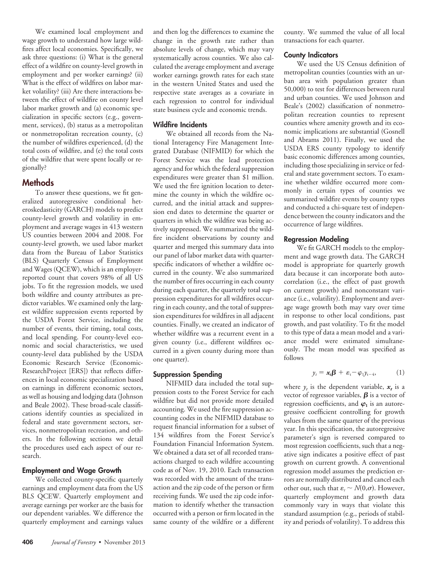We examined local employment and wage growth to understand how large wildfires affect local economies. Specifically, we ask three questions: (i) What is the general effect of a wildfire on county-level growth in employment and per worker earnings? (ii) What is the effect of wildfires on labor market volatility? (iii) Are there interactions between the effect of wildfire on county level labor market growth and (a) economic specialization in specific sectors (e.g., government, services), (b) status as a metropolitan or nonmetropolitan recreation county, (c) the number of wildfires experienced, (d) the total costs of wildfire, and (e) the total costs of the wildfire that were spent locally or regionally?

## **Methods**

To answer these questions, we fit generalized autoregressive conditional heteroskedasticity (GARCH) models to predict county-level growth and volatility in employment and average wages in 413 western US counties between 2004 and 2008. For county-level growth, we used labor market data from the Bureau of Labor Statistics (BLS) Quarterly Census of Employment and Wages (QCEW), which is an employerreported count that covers 98% of all US jobs. To fit the regression models, we used both wildfire and county attributes as predictor variables. We examined only the largest wildfire suppression events reported by the USDA Forest Service, including the number of events, their timing, total costs, and local spending. For county-level economic and social characteristics, we used county-level data published by the USDA Economic Research Service (Economic-ResearchProject [ERS]) that reflects differences in local economic specialization based on earnings in different economic sectors, as well as housing and lodging data (Johnson and Beale 2002). These broad-scale classifications identify counties as specialized in federal and state government sectors, services, nonmetropolitan recreation, and others. In the following sections we detail the procedures used each aspect of our research.

#### **Employment and Wage Growth**

We collected county-specific quarterly earnings and employment data from the US BLS QCEW. Quarterly employment and average earnings per worker are the basis for our dependent variables. We difference the quarterly employment and earnings values

and then log the differences to examine the change in the growth rate rather than absolute levels of change, which may vary systematically across counties. We also calculated the average employment and average worker earnings growth rates for each state in the western United States and used the respective state averages as a covariate in each regression to control for individual state business cycle and economic trends.

#### **Wildfire Incidents**

We obtained all records from the National Interagency Fire Management Integrated Database (NIFMID) for which the Forest Service was the lead protection agency and for which the federal suppression expenditures were greater than \$1 million. We used the fire ignition location to determine the county in which the wildfire occurred, and the initial attack and suppression end dates to determine the quarter or quarters in which the wildfire was being actively suppressed. We summarized the wildfire incident observations by county and quarter and merged this summary data into our panel of labor market data with quarterspecific indicators of whether a wildfire occurred in the county. We also summarized the number of fires occurring in each county during each quarter, the quarterly total suppression expenditures for all wildfires occurring in each county, and the total of suppression expenditures for wildfires in all adjacent counties. Finally, we created an indicator of whether wildfire was a recurrent event in a given county (i.e., different wildfires occurred in a given county during more than one quarter).

#### **Suppression Spending**

NIFMID data included the total suppression costs to the Forest Service for each wildfire but did not provide more detailed accounting. We used the fire suppression accounting codes in the NIFMID database to request financial information for a subset of 134 wildfires from the Forest Service's Foundation Financial Information System. We obtained a data set of all recorded transactions charged to each wildfire accounting code as of Nov. 19, 2010. Each transaction was recorded with the amount of the transaction and the zip code of the person or firm receiving funds. We used the zip code information to identify whether the transaction occurred with a person or firm located in the same county of the wildfire or a different county. We summed the value of all local transactions for each quarter.

#### **County Indicators**

We used the US Census definition of metropolitan counties (counties with an urban area with population greater than 50,000) to test for differences between rural and urban counties. We used Johnson and Beale's (2002) classification of nonmetropolitan recreation counties to represent counties where amenity growth and its economic implications are substantial (Gosnell and Abrams 2011). Finally, we used the USDA ERS county typology to identify basic economic differences among counties, including those specializing in service or federal and state government sectors. To examine whether wildfire occurred more commonly in certain types of counties we summarized wildfire events by county types and conducted a chi-square test of independence between the county indicators and the occurrence of large wildfires.

#### **Regression Modeling**

We fit GARCH models to the employment and wage growth data. The GARCH model is appropriate for quarterly growth data because it can incorporate both autocorrelation (i.e., the effect of past growth on current growth) and nonconstant variance (i.e., volatility). Employment and average wage growth both may vary over time in response to other local conditions, past growth, and past volatility. To fit the model to this type of data a mean model and a variance model were estimated simultaneously. The mean model was specified as follows

$$
y_t = \mathbf{x}_t \boldsymbol{\beta} + \varepsilon_t - \varphi_1 y_{t-4}, \qquad (1)
$$

where  $y_t$  is the dependent variable,  $x_t$  is a vector of regressor variables,  $\beta$  is a vector of regression coefficients, and  $\varphi_1$  is an autoregressive coefficient controlling for growth values from the same quarter of the previous year. In this specification, the autoregressive parameter's sign is reversed compared to most regression coefficients, such that a negative sign indicates a positive effect of past growth on current growth. A conventional regression model assumes the prediction errors are normally distributed and cancel each other out, such that  $\varepsilon_t \sim N(0,\sigma)$ . However, quarterly employment and growth data commonly vary in ways that violate this standard assumption (e.g., periods of stability and periods of volatility). To address this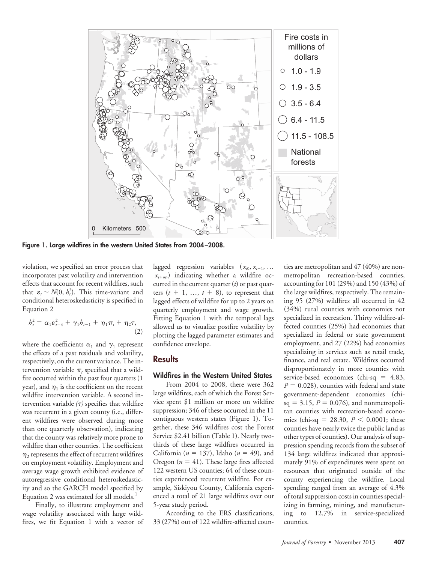

**Figure 1. Large wildfires in the western United States from 2004 –2008.**

violation, we specified an error process that incorporates past volatility and intervention effects that account for recent wildfires, such that  $\varepsilon_t \sim N(0, h_t^2)$ . This time-variant and conditional heteroskedasticity is specified in Equation 2

$$
b_t^2 = \alpha_1 \varepsilon_{t-4}^2 + \gamma_1 b_{t-1} + \eta_1 \pi_t + \eta_2 \tau,
$$
\n(2)

where the coefficients  $\alpha_1$  and  $\gamma_1$  represent the effects of a past residuals and volatility, respectively, on the current variance. The intervention variable  $\pi_t$  specified that a wildfire occurred within the past four quarters (1 year), and  $\eta_1$  is the coefficient on the recent wildfire intervention variable. A second intervention variable  $(\tau)$  specifies that wildfire was recurrent in a given county (i.e., different wildfires were observed during more than one quarterly observation), indicating that the county was relatively more prone to wildfire than other counties. The coefficient  $\eta$ <sub>2</sub> represents the effect of recurrent wildfires on employment volatility. Employment and average wage growth exhibited evidence of autoregressive conditional heteroskedasticity and so the GARCH model specified by Equation 2 was estimated for all models.<sup>1</sup>

Finally, to illustrate employment and wage volatility associated with large wildfires, we fit Equation 1 with a vector of

lagged regression variables  $(x_{i0}, x_{i+1}, \ldots)$  $x_{t+m}$ ) indicating whether a wildfire occurred in the current quarter (*t*) or past quarters  $(t + 1, ..., t + 8)$ , to represent that lagged effects of wildfire for up to 2 years on quarterly employment and wage growth. Fitting Equation 1 with the temporal lags allowed us to visualize postfire volatility by plotting the lagged parameter estimates and confidence envelope.

#### **Results**

#### **Wildfires in the Western United States**

From 2004 to 2008, there were 362 large wildfires, each of which the Forest Service spent \$1 million or more on wildfire suppression; 346 of these occurred in the 11 contiguous western states (Figure 1). Together, these 346 wildfires cost the Forest Service \$2.41 billion (Table 1). Nearly twothirds of these large wildfires occurred in California ( $n = 137$ ), Idaho ( $n = 49$ ), and Oregon ( $n = 41$ ). These large fires affected 122 western US counties; 64 of these counties experienced recurrent wildfire. For example, Siskiyou County, California experienced a total of 21 large wildfires over our 5-year study period.

According to the ERS classifications, 33 (27%) out of 122 wildfire-affected coun-

ties are metropolitan and 47 (40%) are nonmetropolitan recreation-based counties, accounting for 101 (29%) and 150 (43%) of the large wildfires, respectively. The remaining 95 (27%) wildfires all occurred in 42 (34%) rural counties with economies not specialized in recreation. Thirty wildfire-affected counties (25%) had economies that specialized in federal or state government employment, and 27 (22%) had economies specializing in services such as retail trade, finance, and real estate. Wildfires occurred disproportionately in more counties with service-based economies (chi-sq  $= 4.83$ ,  $P = 0.028$ ), counties with federal and state government-dependent economies (chi $sq = 3.15, P = 0.076$ , and nonmetropolitan counties with recreation-based economies (chi-sq = 28.30,  $P < 0.0001$ ; these counties have nearly twice the public land as other types of counties). Our analysis of suppression spending records from the subset of 134 large wildfires indicated that approximately 91% of expenditures were spent on resources that originated outside of the county experiencing the wildfire. Local spending ranged from an average of 4.3% of total suppression costs in counties specializing in farming, mining, and manufacturing to 12.7% in service-specialized counties.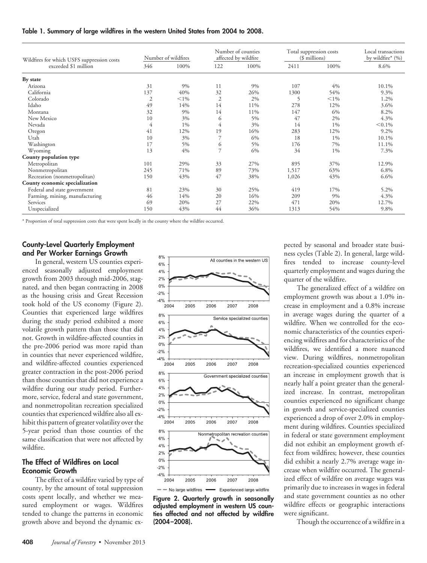#### **Table 1. Summary of large wildfires in the western United States from 2004 to 2008.**

| Wildfires for which USFS suppression costs | Number of wildfires |         | Number of counties<br>affected by wildfire |      | Total suppression costs<br>$($$ millions) |         | Local transactions<br>by wildfire* (%) |  |
|--------------------------------------------|---------------------|---------|--------------------------------------------|------|-------------------------------------------|---------|----------------------------------------|--|
| exceeded \$1 million                       | 346                 | 100%    | 122                                        | 100% | 2411                                      | 100%    | 8.6%                                   |  |
| By state                                   |                     |         |                                            |      |                                           |         |                                        |  |
| Arizona                                    | 31                  | 9%      | 11                                         | 9%   | 107                                       | 4%      | 10.1%                                  |  |
| California                                 | 137                 | 40%     | 32                                         | 26%  | 1300                                      | 54%     | 9.3%                                   |  |
| Colorado                                   | $\mathfrak{2}$      | $< 1\%$ | $\mathfrak{2}$                             | 2%   | 5                                         | $< 1\%$ | 1.2%                                   |  |
| Idaho                                      | 49                  | 14%     | 14                                         | 11%  | 278                                       | 12%     | 3.6%                                   |  |
| Montana                                    | 32                  | 9%      | 14                                         | 11%  | 147                                       | 6%      | 8.2%                                   |  |
| New Mexico                                 | 10                  | 3%      | 6                                          | 5%   | 47                                        | 2%      | 4.3%                                   |  |
| Nevada                                     | 4                   | $1\%$   | 4                                          | 3%   | 14                                        | $1\%$   | $< 0.1\%$                              |  |
| Oregon                                     | 41                  | 12%     | 19                                         | 16%  | 283                                       | 12%     | 9.2%                                   |  |
| Utah                                       | 10                  | 3%      | $\overline{7}$                             | 6%   | 18                                        | $1\%$   | 10.1%                                  |  |
| Washington                                 | 17                  | 5%      | 6                                          | 5%   | 176                                       | 7%      | 11.1%                                  |  |
| Wyoming                                    | 13                  | 4%      | $\overline{7}$                             | 6%   | 34                                        | $1\%$   | 7.3%                                   |  |
| County population type                     |                     |         |                                            |      |                                           |         |                                        |  |
| Metropolitan                               | 101                 | 29%     | 33                                         | 27%  | 895                                       | 37%     | 12.9%                                  |  |
| Nonmetropolitan                            | 245                 | 71%     | 89                                         | 73%  | 1,517                                     | 63%     | 6.8%                                   |  |
| Recreation (nonmetropolitan)               | 150                 | 43%     | 47                                         | 38%  | 1,026                                     | 43%     | 6.6%                                   |  |
| County economic specialization             |                     |         |                                            |      |                                           |         |                                        |  |
| Federal and state government               | 81                  | 23%     | 30                                         | 25%  | 419                                       | 17%     | 5.2%                                   |  |
| Farming, mining, manufacturing             | 46                  | 14%     | 20                                         | 16%  | 209                                       | 9%      | 4.3%                                   |  |
| Services                                   | 69                  | 20%     | 27                                         | 22%  | 471                                       | 20%     | 12.7%                                  |  |
| Unspecialized                              | 150                 | 43%     | 44                                         | 36%  | 1313                                      | 54%     | 9.8%                                   |  |

\* Proportion of total suppression costs that were spent locally in the county where the wildfire occurred.

#### **County-Level Quarterly Employment and Per Worker Earnings Growth**

In general, western US counties experienced seasonally adjusted employment growth from 2003 through mid-2006, stagnated, and then began contracting in 2008 as the housing crisis and Great Recession took hold of the US economy (Figure 2). Counties that experienced large wildfires during the study period exhibited a more volatile growth pattern than those that did not. Growth in wildfire-affected counties in the pre-2006 period was more rapid than in counties that never experienced wildfire, and wildfire-affected counties experienced greater contraction in the post-2006 period than those counties that did not experience a wildfire during our study period. Furthermore, service, federal and state government, and nonmetropolitan recreation specialized counties that experienced wildfire also all exhibit this pattern of greater volatility over the 5-year period than those counties of the same classification that were not affected by wildfire.

#### **The Effect of Wildfires on Local Economic Growth**

The effect of a wildfire varied by type of county, by the amount of total suppression costs spent locally, and whether we measured employment or wages. Wildfires tended to change the patterns in economic growth above and beyond the dynamic ex-



**Figure 2. Quarterly growth in seasonally adjusted employment in western US counties affected and not affected by wildfire (2004 –2008).**

pected by seasonal and broader state business cycles (Table 2). In general, large wildfires tended to increase county-level quarterly employment and wages during the quarter of the wildfire.

The generalized effect of a wildfire on employment growth was about a 1.0% increase in employment and a 0.8% increase in average wages during the quarter of a wildfire. When we controlled for the economic characteristics of the counties experiencing wildfires and for characteristics of the wildfires, we identified a more nuanced view. During wildfires, nonmetropolitan recreation-specialized counties experienced an increase in employment growth that is nearly half a point greater than the generalized increase. In contrast, metropolitan counties experienced no significant change in growth and service-specialized counties experienced a drop of over 2.0% in employment during wildfires. Counties specialized in federal or state government employment did not exhibit an employment growth effect from wildfires; however, these counties did exhibit a nearly 2.7% average wage increase when wildfire occurred. The generalized effect of wildfire on average wages was primarily due to increases in wages in federal and state government counties as no other wildfire effects or geographic interactions were significant.

Though the occurrence of a wildfire in a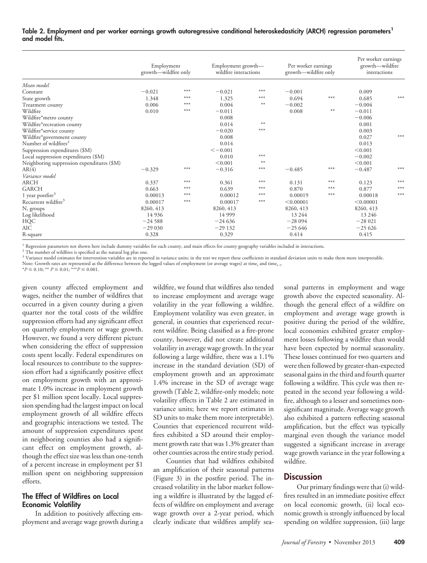#### **Table 2. Employment and per worker earnings growth autoregressive conditional heteroskedasticity (ARCH) regression parameters1 and model fits.**

|                                            | Employment<br>growth—wildfire only |     | Employment growth-<br>wildfire interactions |       | Per worker earnings<br>growth—wildfire only |       | Per worker earnings<br>growth-wildfire<br>interactions |       |
|--------------------------------------------|------------------------------------|-----|---------------------------------------------|-------|---------------------------------------------|-------|--------------------------------------------------------|-------|
| Mean model                                 |                                    |     |                                             |       |                                             |       |                                                        |       |
| Constant                                   | $-0.021$                           | *** | $-0.021$                                    | $***$ | $-0.001$                                    |       | 0.009                                                  |       |
| State growth                               | 1.348                              | *** | 1.325                                       | ***   | 0.694                                       | $***$ | 0.685                                                  | ***   |
| Treatment county                           | 0.006                              | *** | 0.004                                       | $**$  | $-0.002$                                    |       | $-0.004$                                               |       |
| Wildfire                                   | 0.010                              | *** | $-0.011$                                    |       | 0.008                                       | $**$  | $-0.011$                                               |       |
| Wildfire*metro county                      |                                    |     | 0.008                                       |       |                                             |       | $-0.006$                                               |       |
| Wildfire*recreation county                 |                                    |     | 0.014                                       | $**$  |                                             |       | 0.001                                                  |       |
| Wildfire*service county                    |                                    |     | $-0.020$                                    | ***   |                                             |       | 0.003                                                  |       |
| Wildfire*government county                 |                                    |     | 0.008                                       |       |                                             |       | 0.027                                                  | ***   |
| Number of wildfires <sup>2</sup>           |                                    |     | 0.014                                       |       |                                             |       | 0.013                                                  |       |
| Suppression expenditures (\$M)             |                                    |     | $<-0.001$                                   |       |                                             |       | < 0.001                                                |       |
| Local suppression expenditures (\$M)       |                                    |     | 0.010                                       | $***$ |                                             |       | $-0.002$                                               |       |
| Neighboring suppression expenditures (\$M) |                                    |     | < 0.001                                     | **    |                                             |       | < 0.001                                                |       |
| AR(4)                                      | $-0.329$                           | *** | $-0.316$                                    | $***$ | $-0.485$                                    | $***$ | $-0.487$                                               | ***   |
| Variance model                             |                                    |     |                                             |       |                                             |       |                                                        |       |
| <b>ARCH</b>                                | 0.337                              | *** | 0.361                                       | ***   | 0.131                                       | ***   | 0.123                                                  | ***   |
| <b>GARCH</b>                               | 0.663                              | *** | 0.639                                       | ***   | 0.870                                       | ***   | 0.877                                                  | $***$ |
| 1 year postfire <sup>3</sup>               | 0.00013                            | *** | 0.00012                                     | ***   | 0.00019                                     | ***   | 0.00018                                                | $***$ |
| Recurrent wildfire <sup>3</sup>            | 0.00017                            | *** | 0.00017                                     | ***   | < 0.00001                                   |       | < 0.00001                                              |       |
| N, groups                                  | 8260, 413                          |     | 8260, 413                                   |       | 8260, 413                                   |       | 8260, 413                                              |       |
| Log likelihood                             | 14 9 36                            |     | 14 9 9 9                                    |       | 13 244                                      |       | 13 24 6                                                |       |
| HQC                                        | $-24588$                           |     | $-24636$                                    |       | $-28094$                                    |       | $-28021$                                               |       |
| <b>AIC</b>                                 | $-29030$                           |     | $-29132$                                    |       | $-25646$                                    |       | $-25626$                                               |       |
| R-square                                   | 0.328                              |     | 0.329                                       |       | 0.414                                       |       | 0.415                                                  |       |

 $1$  Regression parameters not shown here include dummy variables for each county, and main effects for county geography variables included in interactions.  $2$  The number of wildfires is specified as the natural log plus

 $3$  Variance model estimates for intervention variables are in reported in variance units; in the text we report these coefficients in standard deviation units to make them more interpretable.

Note: Growth rates are represented as the difference between the logged values of employment (or average wages) at time<sub>t</sub> and time<sub>t-1</sub>.<br>\**P*  $\leq$  0.10; \*\* *P*  $\leq$  0.01; \*\*\**P*  $\leq$  0.001.

given county affected employment and wages, neither the number of wildfires that occurred in a given county during a given quarter nor the total costs of the wildfire suppression efforts had any significant effect on quarterly employment or wage growth. However, we found a very different picture when considering the effect of suppression costs spent locally. Federal expenditures on local resources to contribute to the suppression effort had a significantly positive effect on employment growth with an approximate 1.0% increase in employment growth per \$1 million spent locally. Local suppression spending had the largest impact on local employment growth of all wildfire effects and geographic interactions we tested. The amount of suppression expenditures spent in neighboring counties also had a significant effect on employment growth, although the effect size was less than one-tenth of a percent increase in employment per \$1 million spent on neighboring suppression efforts.

#### **The Effect of Wildfires on Local Economic Volatility**

In addition to positively affecting employment and average wage growth during a

wildfire, we found that wildfires also tended to increase employment and average wage volatility in the year following a wildfire. Employment volatility was even greater, in general, in counties that experienced recurrent wildfire. Being classified as a fire-prone county, however, did not create additional volatility in average wage growth. In the year following a large wildfire, there was a 1.1% increase in the standard deviation (SD) of employment growth and an approximate 1.4% increase in the SD of average wage growth (Table 2, wildfire-only models; note volatility effects in Table 2 are estimated in variance units; here we report estimates in SD units to make them more interpretable). Counties that experienced recurrent wildfires exhibited a SD around their employment growth rate that was 1.3% greater than other counties across the entire study period.

Counties that had wildfires exhibited an amplification of their seasonal patterns (Figure 3) in the postfire period. The increased volatility in the labor market following a wildfire is illustrated by the lagged effects of wildfire on employment and average wage growth over a 2-year period, which clearly indicate that wildfires amplify sea-

sonal patterns in employment and wage growth above the expected seasonality. Although the general effect of a wildfire on employment and average wage growth is positive during the period of the wildfire, local economies exhibited greater employment losses following a wildfire than would have been expected by normal seasonality. These losses continued for two quarters and were then followed by greater-than-expected seasonal gains in the third and fourth quarter following a wildfire. This cycle was then repeated in the second year following a wildfire, although to a lesser and sometimes nonsignificant magnitude. Average wage growth also exhibited a pattern reflecting seasonal amplification, but the effect was typically marginal even though the variance model suggested a significant increase in average wage growth variance in the year following a wildfire.

#### **Discussion**

Our primary findings were that (i) wildfires resulted in an immediate positive effect on local economic growth, (ii) local economic growth is strongly influenced by local spending on wildfire suppression, (iii) large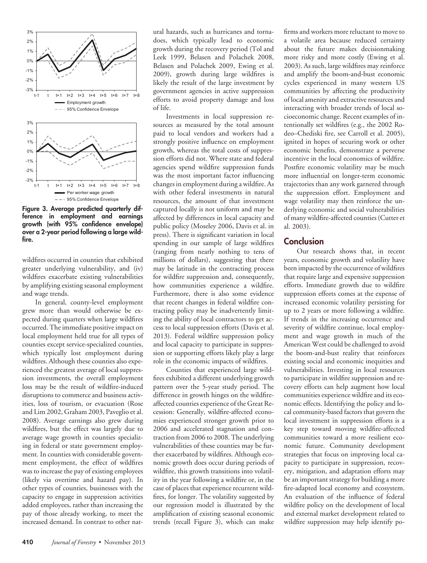

**Figure 3. Average predicted quarterly difference in employment and earnings growth (with 95% confidence envelope) over a 2-year period following a large wildfire.**

wildfires occurred in counties that exhibited greater underlying vulnerability, and (iv) wildfires exacerbate existing vulnerabilities by amplifying existing seasonal employment and wage trends.

In general, county-level employment grew more than would otherwise be expected during quarters when large wildfires occurred. The immediate positive impact on local employment held true for all types of counties except service-specialized counties, which typically lost employment during wildfires. Although these counties also experienced the greatest average of local suppression investments, the overall employment loss may be the result of wildfire-induced disruptions to commerce and business activities, loss of tourism, or evacuation (Rose and Lim 2002, Graham 2003, Paveglio et al. 2008). Average earnings also grew during wildfires, but the effect was largely due to average wage growth in counties specializing in federal or state government employment. In counties with considerable government employment, the effect of wildfires was to increase the pay of existing employees (likely via overtime and hazard pay). In other types of counties, businesses with the capacity to engage in suppression activities added employees, rather than increasing the pay of those already working, to meet the increased demand. In contrast to other nat-

ural hazards, such as hurricanes and tornadoes, which typically lead to economic growth during the recovery period (Tol and Leek 1999, Belasen and Polachek 2008, Belasen and Polachek 2009, Ewing et al. 2009), growth during large wildfires is likely the result of the large investment by government agencies in active suppression efforts to avoid property damage and loss of life.

Investments in local suppression resources as measured by the total amount paid to local vendors and workers had a strongly positive influence on employment growth, whereas the total costs of suppression efforts did not. Where state and federal agencies spend wildfire suppression funds was the most important factor influencing changes in employment during a wildfire. As with other federal investments in natural resources, the amount of that investment captured locally is not uniform and may be affected by differences in local capacity and public policy (Moseley 2006, Davis et al. in press). There is significant variation in local spending in our sample of large wildfires (ranging from nearly nothing to tens of millions of dollars), suggesting that there may be latitude in the contracting process for wildfire suppression and, consequently, how communities experience a wildfire. Furthermore, there is also some evidence that recent changes in federal wildfire contracting policy may be inadvertently limiting the ability of local contractors to get access to local suppression efforts (Davis et al. 2013). Federal wildfire suppression policy and local capacity to participate in suppression or supporting efforts likely play a large role in the economic impacts of wildfires.

Counties that experienced large wildfires exhibited a different underlying growth pattern over the 5-year study period. The difference in growth hinges on the wildfireaffected counties experience of the Great Recession: Generally, wildfire-affected economies experienced stronger growth prior to 2006 and accelerated stagnation and contraction from 2006 to 2008. The underlying vulnerabilities of these counties may be further exacerbated by wildfires. Although economic growth does occur during periods of wildfire, this growth transitions into volatility in the year following a wildfire or, in the case of places that experience recurrent wildfires, for longer. The volatility suggested by our regression model is illustrated by the amplification of existing seasonal economic trends (recall Figure 3), which can make

firms and workers more reluctant to move to a volatile area because reduced certainty about the future makes decisionmaking more risky and more costly (Ewing et al. 2003). As such, large wildfires may reinforce and amplify the boom-and-bust economic cycles experienced in many western US communities by affecting the productivity of local amenity and extractive resources and interacting with broader trends of local socioeconomic change. Recent examples of intentionally set wildfires (e.g., the 2002 Rodeo–Chediski fire, see Carroll et al. 2005), ignited in hopes of securing work or other economic benefits, demonstrate a perverse incentive in the local economics of wildfire. Postfire economic volatility may be much more influential on longer-term economic trajectories than any work garnered through the suppression effort. Employment and wage volatility may then reinforce the underlying economic and social vulnerabilities of many wildfire-affected counties (Cutter et al. 2003).

## **Conclusion**

Our research shows that, in recent years, economic growth and volatility have been impacted by the occurrence of wildfires that require large and expensive suppression efforts. Immediate growth due to wildfire suppression efforts comes at the expense of increased economic volatility persisting for up to 2 years or more following a wildfire. If trends in the increasing occurrence and severity of wildfire continue, local employment and wage growth in much of the American West could be challenged to avoid the boom-and-bust reality that reinforces existing social and economic inequities and vulnerabilities. Investing in local resources to participate in wildfire suppression and recovery efforts can help augment how local communities experience wildfire and its economic effects. Identifying the policy and local community-based factors that govern the local investment in suppression efforts is a key step toward moving wildfire-affected communities toward a more resilient economic future. Community development strategies that focus on improving local capacity to participate in suppression, recovery, mitigation, and adaptation efforts may be an important strategy for building a more fire-adapted local economy and ecosystem. An evaluation of the influence of federal wildfire policy on the development of local and external market development related to wildfire suppression may help identify po